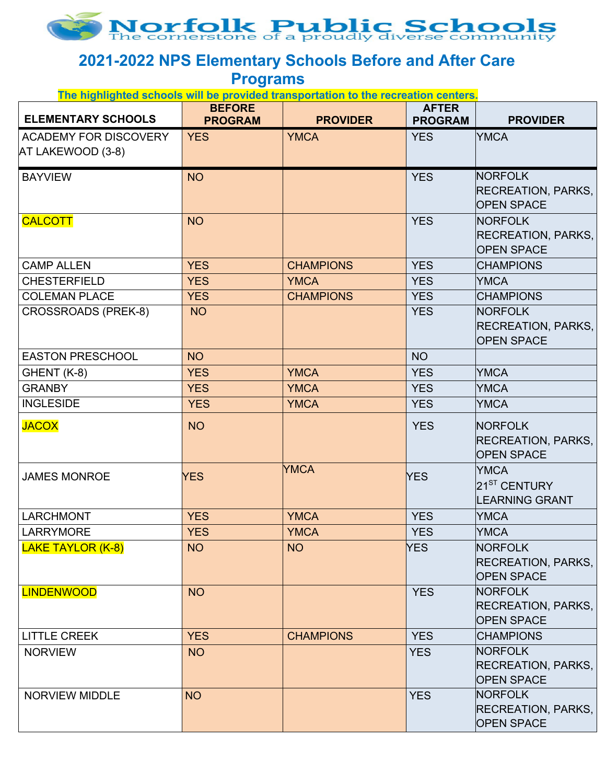

## **2021-2022 NPS Elementary Schools Before and After Care**

**Programs**

| <b>ELEMENTARY SCHOOLS</b>                         | <b>BEFORE</b><br><b>PROGRAM</b> | <b>PROVIDER</b>  | <b>AFTER</b><br><b>PROGRAM</b> | <b>PROVIDER</b>                                                  |
|---------------------------------------------------|---------------------------------|------------------|--------------------------------|------------------------------------------------------------------|
| <b>ACADEMY FOR DISCOVERY</b><br>AT LAKEWOOD (3-8) | <b>YES</b>                      | <b>YMCA</b>      | <b>YES</b>                     | <b>YMCA</b>                                                      |
| <b>BAYVIEW</b>                                    | <b>NO</b>                       |                  | <b>YES</b>                     | <b>NORFOLK</b><br><b>RECREATION, PARKS,</b><br><b>OPEN SPACE</b> |
| <b>CALCOTT</b>                                    | <b>NO</b>                       |                  | <b>YES</b>                     | <b>NORFOLK</b><br><b>RECREATION, PARKS,</b><br><b>OPEN SPACE</b> |
| <b>CAMP ALLEN</b>                                 | <b>YES</b>                      | <b>CHAMPIONS</b> | <b>YES</b>                     | <b>CHAMPIONS</b>                                                 |
| <b>CHESTERFIELD</b>                               | <b>YES</b>                      | <b>YMCA</b>      | <b>YES</b>                     | <b>YMCA</b>                                                      |
| <b>COLEMAN PLACE</b>                              | <b>YES</b>                      | <b>CHAMPIONS</b> | <b>YES</b>                     | <b>CHAMPIONS</b>                                                 |
| <b>CROSSROADS (PREK-8)</b>                        | <b>NO</b>                       |                  | <b>YES</b>                     | <b>NORFOLK</b><br><b>RECREATION, PARKS,</b><br><b>OPEN SPACE</b> |
| <b>EASTON PRESCHOOL</b>                           | <b>NO</b>                       |                  | <b>NO</b>                      |                                                                  |
| GHENT (K-8)                                       | <b>YES</b>                      | <b>YMCA</b>      | <b>YES</b>                     | <b>YMCA</b>                                                      |
| <b>GRANBY</b>                                     | <b>YES</b>                      | <b>YMCA</b>      | <b>YES</b>                     | <b>YMCA</b>                                                      |
| <b>INGLESIDE</b>                                  | <b>YES</b>                      | <b>YMCA</b>      | <b>YES</b>                     | <b>YMCA</b>                                                      |
| <b>JACOX</b>                                      | <b>NO</b>                       |                  | <b>YES</b>                     | <b>NORFOLK</b><br>RECREATION, PARKS,<br><b>OPEN SPACE</b>        |
| <b>JAMES MONROE</b>                               | <b>YES</b>                      | <b>YMCA</b>      | <b>YES</b>                     | <b>YMCA</b><br>21 <sup>ST</sup> CENTURY<br><b>LEARNING GRANT</b> |
| <b>LARCHMONT</b>                                  | <b>YES</b>                      | <b>YMCA</b>      | <b>YES</b>                     | <b>YMCA</b>                                                      |
| <b>LARRYMORE</b>                                  | <b>YES</b>                      | <b>YMCA</b>      | <b>YES</b>                     | <b>YMCA</b>                                                      |
| <u> LAKE TAYLOR (K-8)</u>                         | <b>NO</b>                       | <b>NO</b>        | YES                            | <b>NORFOLK</b><br>RECREATION, PARKS,<br><b>OPEN SPACE</b>        |
| <b>LINDENWOOD</b>                                 | <b>NO</b>                       |                  | <b>YES</b>                     | <b>NORFOLK</b><br><b>RECREATION, PARKS,</b><br><b>OPEN SPACE</b> |
| <b>LITTLE CREEK</b>                               | <b>YES</b>                      | <b>CHAMPIONS</b> | <b>YES</b>                     | <b>CHAMPIONS</b>                                                 |
| <b>NORVIEW</b>                                    | <b>NO</b>                       |                  | <b>YES</b>                     | <b>NORFOLK</b><br>RECREATION, PARKS,<br><b>OPEN SPACE</b>        |
| <b>NORVIEW MIDDLE</b>                             | <b>NO</b>                       |                  | <b>YES</b>                     | <b>NORFOLK</b><br>RECREATION, PARKS,<br><b>OPEN SPACE</b>        |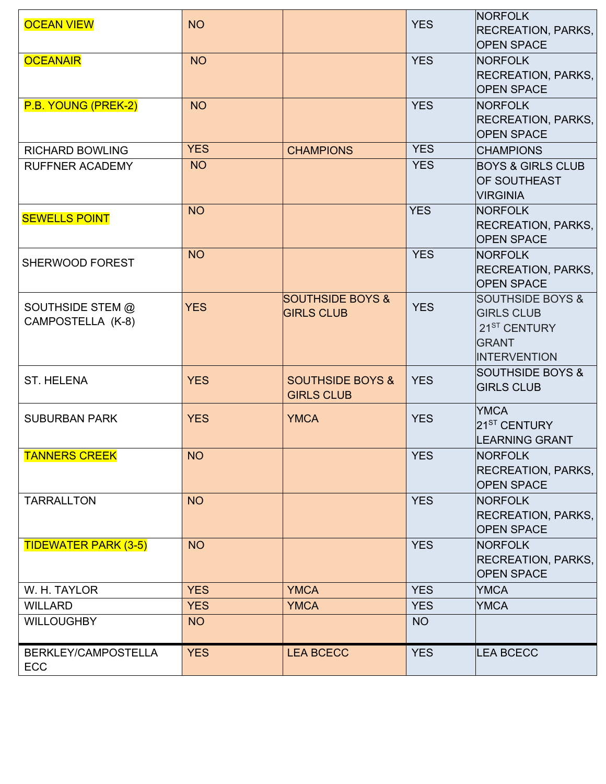| <b>OCEAN VIEW</b>                     | <b>NO</b>  |                                                  | <b>YES</b> | <b>NORFOLK</b><br><b>RECREATION, PARKS,</b><br><b>OPEN SPACE</b>                                                    |
|---------------------------------------|------------|--------------------------------------------------|------------|---------------------------------------------------------------------------------------------------------------------|
| <b>OCEANAIR</b>                       | <b>NO</b>  |                                                  | <b>YES</b> | <b>NORFOLK</b><br><b>RECREATION, PARKS,</b><br><b>OPEN SPACE</b>                                                    |
| P.B. YOUNG (PREK-2)                   | <b>NO</b>  |                                                  | <b>YES</b> | <b>NORFOLK</b><br><b>RECREATION, PARKS,</b><br><b>OPEN SPACE</b>                                                    |
| <b>RICHARD BOWLING</b>                | <b>YES</b> | <b>CHAMPIONS</b>                                 | <b>YES</b> | <b>CHAMPIONS</b>                                                                                                    |
| <b>RUFFNER ACADEMY</b>                | <b>NO</b>  |                                                  | <b>YES</b> | <b>BOYS &amp; GIRLS CLUB</b><br><b>OF SOUTHEAST</b><br><b>VIRGINIA</b>                                              |
| <b>SEWELLS POINT</b>                  | <b>NO</b>  |                                                  | <b>YES</b> | <b>NORFOLK</b><br><b>RECREATION, PARKS,</b><br><b>OPEN SPACE</b>                                                    |
| <b>SHERWOOD FOREST</b>                | <b>NO</b>  |                                                  | <b>YES</b> | <b>NORFOLK</b><br><b>RECREATION, PARKS,</b><br><b>OPEN SPACE</b>                                                    |
| SOUTHSIDE STEM @<br>CAMPOSTELLA (K-8) | <b>YES</b> | <b>SOUTHSIDE BOYS &amp;</b><br><b>GIRLS CLUB</b> | <b>YES</b> | <b>SOUTHSIDE BOYS &amp;</b><br><b>GIRLS CLUB</b><br>21 <sup>ST</sup> CENTURY<br><b>GRANT</b><br><b>INTERVENTION</b> |
| <b>ST. HELENA</b>                     | <b>YES</b> | <b>SOUTHSIDE BOYS &amp;</b><br><b>GIRLS CLUB</b> | <b>YES</b> | <b>SOUTHSIDE BOYS &amp;</b><br><b>GIRLS CLUB</b>                                                                    |
| <b>SUBURBAN PARK</b>                  | <b>YES</b> | <b>YMCA</b>                                      | <b>YES</b> | <b>YMCA</b><br>21 <sup>ST</sup> CENTURY<br><b>LEARNING GRANT</b>                                                    |
| <b>TANNERS CREEK</b>                  | <b>NO</b>  |                                                  | <b>YES</b> | <b>NORFOLK</b><br><b>RECREATION, PARKS,</b><br><b>OPEN SPACE</b>                                                    |
| <b>TARRALLTON</b>                     | <b>NO</b>  |                                                  | <b>YES</b> | <b>NORFOLK</b><br><b>RECREATION, PARKS,</b><br><b>OPEN SPACE</b>                                                    |
| <b>TIDEWATER PARK (3-5)</b>           | <b>NO</b>  |                                                  | <b>YES</b> | <b>NORFOLK</b><br><b>RECREATION, PARKS,</b><br><b>OPEN SPACE</b>                                                    |
| W. H. TAYLOR                          | <b>YES</b> | <b>YMCA</b>                                      | <b>YES</b> | <b>YMCA</b>                                                                                                         |
| <b>WILLARD</b>                        | <b>YES</b> | <b>YMCA</b>                                      | <b>YES</b> | <b>YMCA</b>                                                                                                         |
| <b>WILLOUGHBY</b>                     | <b>NO</b>  |                                                  | <b>NO</b>  |                                                                                                                     |
| BERKLEY/CAMPOSTELLA<br><b>ECC</b>     | <b>YES</b> | <b>LEA BCECC</b>                                 | <b>YES</b> | <b>LEA BCECC</b>                                                                                                    |